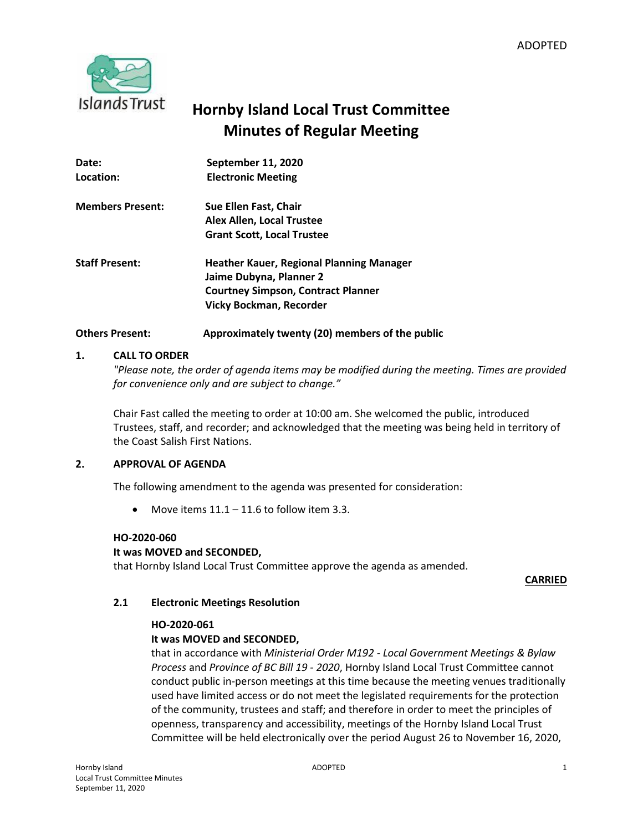

# **Hornby Island Local Trust Committee Minutes of Regular Meeting**

| Date:                   | September 11, 2020                              |
|-------------------------|-------------------------------------------------|
| Location:               | <b>Electronic Meeting</b>                       |
| <b>Members Present:</b> | Sue Ellen Fast, Chair                           |
|                         | Alex Allen, Local Trustee                       |
|                         | <b>Grant Scott, Local Trustee</b>               |
| <b>Staff Present:</b>   | <b>Heather Kauer, Regional Planning Manager</b> |
|                         | Jaime Dubyna, Planner 2                         |
|                         | <b>Courtney Simpson, Contract Planner</b>       |
|                         | <b>Vicky Bockman, Recorder</b>                  |
|                         |                                                 |

# **Others Present: Approximately twenty (20) members of the public**

### **1. CALL TO ORDER**

*"Please note, the order of agenda items may be modified during the meeting. Times are provided for convenience only and are subject to change."*

Chair Fast called the meeting to order at 10:00 am. She welcomed the public, introduced Trustees, staff, and recorder; and acknowledged that the meeting was being held in territory of the Coast Salish First Nations.

### **2. APPROVAL OF AGENDA**

The following amendment to the agenda was presented for consideration:

• Move items  $11.1 - 11.6$  to follow item 3.3.

### **HO-2020-060**

### **It was MOVED and SECONDED,**

that Hornby Island Local Trust Committee approve the agenda as amended.

**CARRIED**

### **2.1 Electronic Meetings Resolution**

### **HO-2020-061**

### **It was MOVED and SECONDED,**

that in accordance with *Ministerial Order M192 - Local Government Meetings & Bylaw Process* and *Province of BC Bill 19 - 2020*, Hornby Island Local Trust Committee cannot conduct public in-person meetings at this time because the meeting venues traditionally used have limited access or do not meet the legislated requirements for the protection of the community, trustees and staff; and therefore in order to meet the principles of openness, transparency and accessibility, meetings of the Hornby Island Local Trust Committee will be held electronically over the period August 26 to November 16, 2020,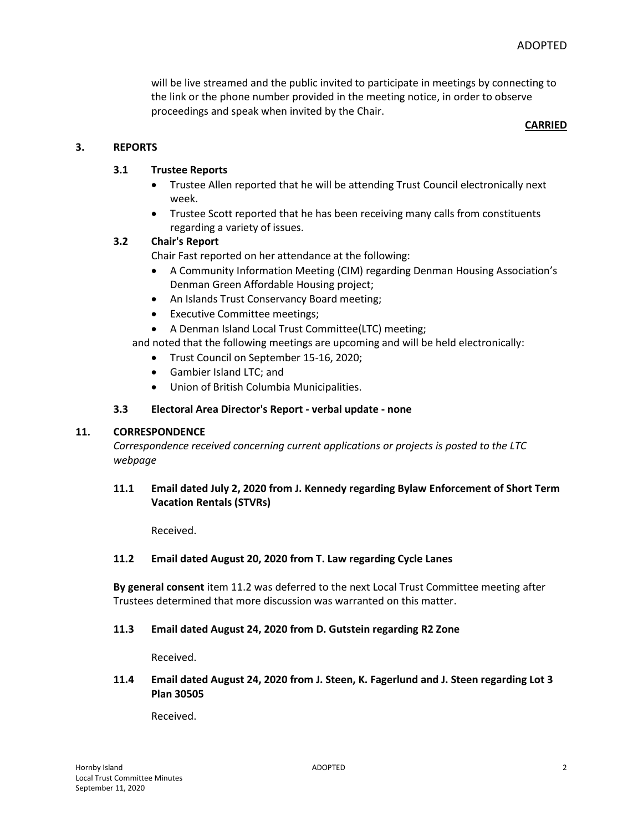will be live streamed and the public invited to participate in meetings by connecting to the link or the phone number provided in the meeting notice, in order to observe proceedings and speak when invited by the Chair.

#### **CARRIED**

### **3. REPORTS**

### **3.1 Trustee Reports**

- Trustee Allen reported that he will be attending Trust Council electronically next week.
- Trustee Scott reported that he has been receiving many calls from constituents regarding a variety of issues.

# **3.2 Chair's Report**

Chair Fast reported on her attendance at the following:

- A Community Information Meeting (CIM) regarding Denman Housing Association's Denman Green Affordable Housing project;
- An Islands Trust Conservancy Board meeting;
- Executive Committee meetings;

A Denman Island Local Trust Committee(LTC) meeting;

and noted that the following meetings are upcoming and will be held electronically:

- Trust Council on September 15-16, 2020;
- Gambier Island LTC; and
- Union of British Columbia Municipalities.

### **3.3 Electoral Area Director's Report - verbal update - none**

### **11. CORRESPONDENCE**

*Correspondence received concerning current applications or projects is posted to the LTC webpage*

# **11.1 Email dated July 2, 2020 from J. Kennedy regarding Bylaw Enforcement of Short Term Vacation Rentals (STVRs)**

Received.

### **11.2 Email dated August 20, 2020 from T. Law regarding Cycle Lanes**

**By general consent** item 11.2 was deferred to the next Local Trust Committee meeting after Trustees determined that more discussion was warranted on this matter.

### **11.3 Email dated August 24, 2020 from D. Gutstein regarding R2 Zone**

Received.

### **11.4 Email dated August 24, 2020 from J. Steen, K. Fagerlund and J. Steen regarding Lot 3 Plan 30505**

Received.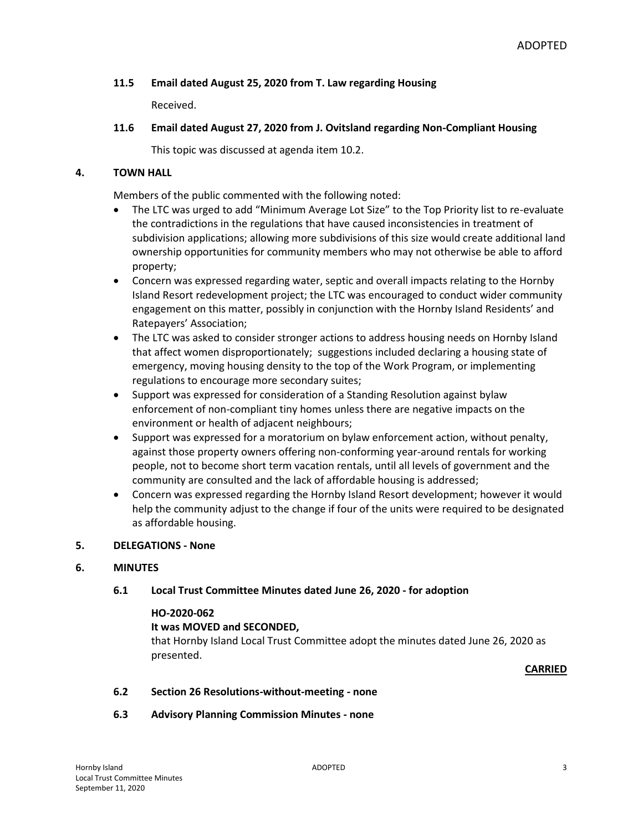# **11.5 Email dated August 25, 2020 from T. Law regarding Housing**

Received.

# **11.6 Email dated August 27, 2020 from J. Ovitsland regarding Non-Compliant Housing**

This topic was discussed at agenda item 10.2.

# **4. TOWN HALL**

Members of the public commented with the following noted:

- The LTC was urged to add "Minimum Average Lot Size" to the Top Priority list to re-evaluate the contradictions in the regulations that have caused inconsistencies in treatment of subdivision applications; allowing more subdivisions of this size would create additional land ownership opportunities for community members who may not otherwise be able to afford property;
- Concern was expressed regarding water, septic and overall impacts relating to the Hornby Island Resort redevelopment project; the LTC was encouraged to conduct wider community engagement on this matter, possibly in conjunction with the Hornby Island Residents' and Ratepayers' Association;
- The LTC was asked to consider stronger actions to address housing needs on Hornby Island that affect women disproportionately; suggestions included declaring a housing state of emergency, moving housing density to the top of the Work Program, or implementing regulations to encourage more secondary suites;
- Support was expressed for consideration of a Standing Resolution against bylaw enforcement of non-compliant tiny homes unless there are negative impacts on the environment or health of adjacent neighbours;
- Support was expressed for a moratorium on bylaw enforcement action, without penalty, against those property owners offering non-conforming year-around rentals for working people, not to become short term vacation rentals, until all levels of government and the community are consulted and the lack of affordable housing is addressed;
- Concern was expressed regarding the Hornby Island Resort development; however it would help the community adjust to the change if four of the units were required to be designated as affordable housing.

# **5. DELEGATIONS - None**

### **6. MINUTES**

### **6.1 Local Trust Committee Minutes dated June 26, 2020 - for adoption**

### **HO-2020-062**

### **It was MOVED and SECONDED,**

that Hornby Island Local Trust Committee adopt the minutes dated June 26, 2020 as presented.

**CARRIED**

### **6.2 Section 26 Resolutions-without-meeting - none**

**6.3 Advisory Planning Commission Minutes - none**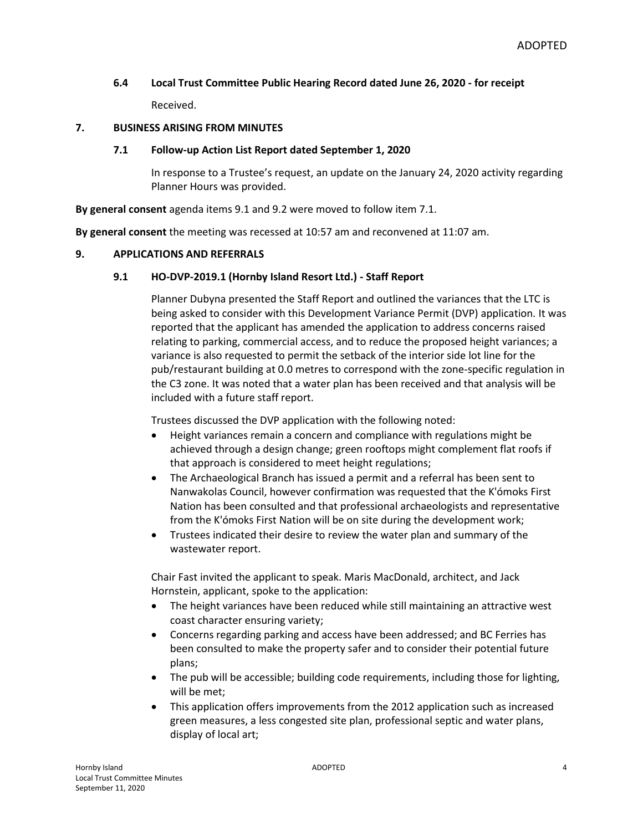### **6.4 Local Trust Committee Public Hearing Record dated June 26, 2020 - for receipt**

Received.

### **7. BUSINESS ARISING FROM MINUTES**

#### **7.1 Follow-up Action List Report dated September 1, 2020**

In response to a Trustee's request, an update on the January 24, 2020 activity regarding Planner Hours was provided.

**By general consent** agenda items 9.1 and 9.2 were moved to follow item 7.1.

**By general consent** the meeting was recessed at 10:57 am and reconvened at 11:07 am.

### **9. APPLICATIONS AND REFERRALS**

### **9.1 HO-DVP-2019.1 (Hornby Island Resort Ltd.) - Staff Report**

Planner Dubyna presented the Staff Report and outlined the variances that the LTC is being asked to consider with this Development Variance Permit (DVP) application. It was reported that the applicant has amended the application to address concerns raised relating to parking, commercial access, and to reduce the proposed height variances; a variance is also requested to permit the setback of the interior side lot line for the pub/restaurant building at 0.0 metres to correspond with the zone-specific regulation in the C3 zone. It was noted that a water plan has been received and that analysis will be included with a future staff report.

Trustees discussed the DVP application with the following noted:

- Height variances remain a concern and compliance with regulations might be achieved through a design change; green rooftops might complement flat roofs if that approach is considered to meet height regulations;
- The Archaeological Branch has issued a permit and a referral has been sent to Nanwakolas Council, however confirmation was requested that the K'ómoks First Nation has been consulted and that professional archaeologists and representative from the K'ómoks First Nation will be on site during the development work;
- Trustees indicated their desire to review the water plan and summary of the wastewater report.

Chair Fast invited the applicant to speak. Maris MacDonald, architect, and Jack Hornstein, applicant, spoke to the application:

- The height variances have been reduced while still maintaining an attractive west coast character ensuring variety;
- Concerns regarding parking and access have been addressed; and BC Ferries has been consulted to make the property safer and to consider their potential future plans;
- The pub will be accessible; building code requirements, including those for lighting, will be met;
- This application offers improvements from the 2012 application such as increased green measures, a less congested site plan, professional septic and water plans, display of local art;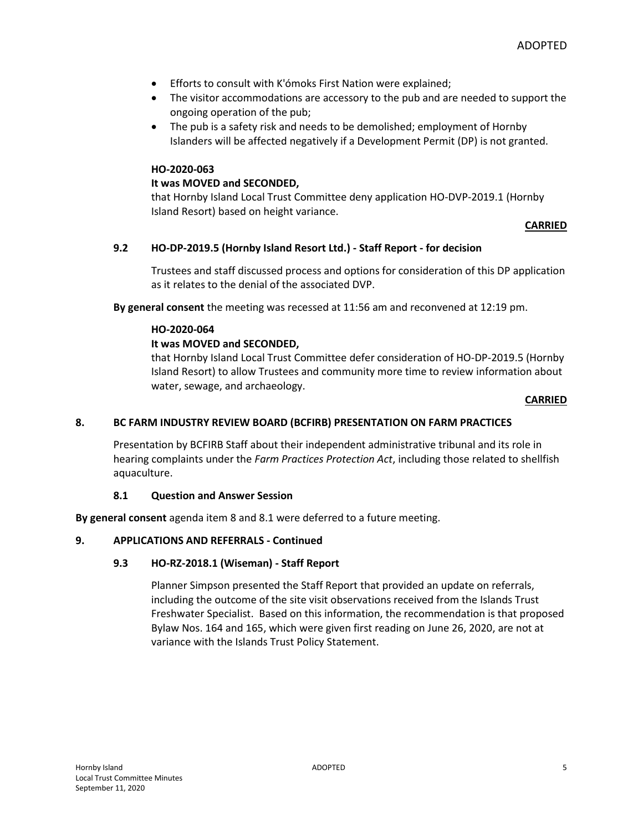- **Efforts to consult with K'ómoks First Nation were explained;**
- The visitor accommodations are accessory to the pub and are needed to support the ongoing operation of the pub;
- The pub is a safety risk and needs to be demolished; employment of Hornby Islanders will be affected negatively if a Development Permit (DP) is not granted.

### **HO-2020-063**

### **It was MOVED and SECONDED,**

that Hornby Island Local Trust Committee deny application HO-DVP-2019.1 (Hornby Island Resort) based on height variance.

### **CARRIED**

### **9.2 HO-DP-2019.5 (Hornby Island Resort Ltd.) - Staff Report - for decision**

Trustees and staff discussed process and options for consideration of this DP application as it relates to the denial of the associated DVP.

**By general consent** the meeting was recessed at 11:56 am and reconvened at 12:19 pm.

### **HO-2020-064**

### **It was MOVED and SECONDED,**

that Hornby Island Local Trust Committee defer consideration of HO-DP-2019.5 (Hornby Island Resort) to allow Trustees and community more time to review information about water, sewage, and archaeology.

#### **CARRIED**

### **8. BC FARM INDUSTRY REVIEW BOARD (BCFIRB) PRESENTATION ON FARM PRACTICES**

Presentation by BCFIRB Staff about their independent administrative tribunal and its role in hearing complaints under the *Farm Practices Protection Act*, including those related to shellfish aquaculture.

#### **8.1 Question and Answer Session**

**By general consent** agenda item 8 and 8.1 were deferred to a future meeting.

#### **9. APPLICATIONS AND REFERRALS - Continued**

#### **9.3 HO-RZ-2018.1 (Wiseman) - Staff Report**

Planner Simpson presented the Staff Report that provided an update on referrals, including the outcome of the site visit observations received from the Islands Trust Freshwater Specialist. Based on this information, the recommendation is that proposed Bylaw Nos. 164 and 165, which were given first reading on June 26, 2020, are not at variance with the Islands Trust Policy Statement.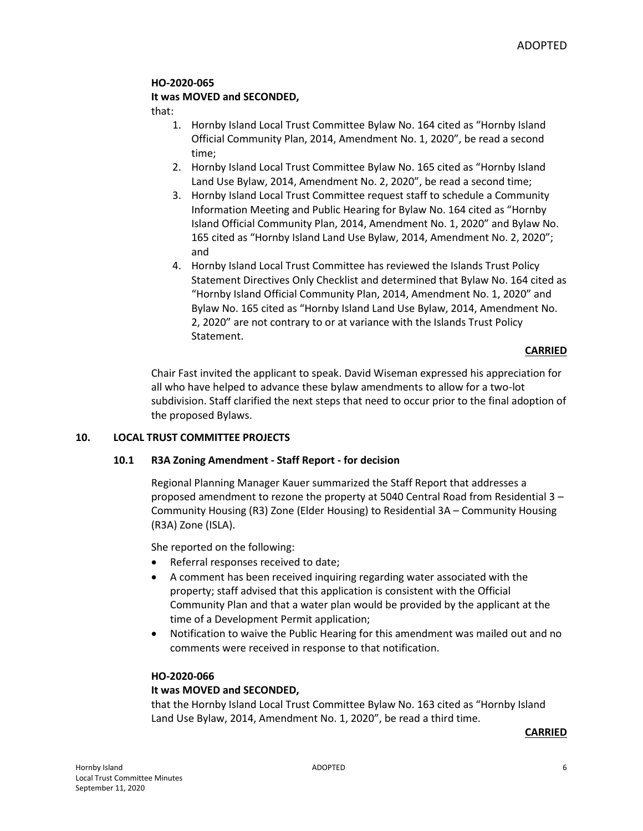# **HO-2020-065**

# **It was MOVED and SECONDED,**

that:

- 1. Hornby Island Local Trust Committee Bylaw No. 164 cited as "Hornby Island Official Community Plan, 2014, Amendment No. 1, 2020", be read a second time;
- 2. Hornby Island Local Trust Committee Bylaw No. 165 cited as "Hornby Island Land Use Bylaw, 2014, Amendment No. 2, 2020", be read a second time;
- 3. Hornby Island Local Trust Committee request staff to schedule a Community Information Meeting and Public Hearing for Bylaw No. 164 cited as "Hornby Island Official Community Plan, 2014, Amendment No. 1, 2020" and Bylaw No. 165 cited as "Hornby Island Land Use Bylaw, 2014, Amendment No. 2, 2020"; and
- 4. Hornby Island Local Trust Committee has reviewed the Islands Trust Policy Statement Directives Only Checklist and determined that Bylaw No. 164 cited as "Hornby Island Official Community Plan, 2014, Amendment No. 1, 2020" and Bylaw No. 165 cited as "Hornby Island Land Use Bylaw, 2014, Amendment No. 2, 2020" are not contrary to or at variance with the Islands Trust Policy Statement.

### **CARRIED**

Chair Fast invited the applicant to speak. David Wiseman expressed his appreciation for all who have helped to advance these bylaw amendments to allow for a two-lot subdivision. Staff clarified the next steps that need to occur prior to the final adoption of the proposed Bylaws.

# **10. LOCAL TRUST COMMITTEE PROJECTS**

### **10.1 R3A Zoning Amendment - Staff Report - for decision**

Regional Planning Manager Kauer summarized the Staff Report that addresses a proposed amendment to rezone the property at 5040 Central Road from Residential 3 – Community Housing (R3) Zone (Elder Housing) to Residential 3A – Community Housing (R3A) Zone (ISLA).

She reported on the following:

- Referral responses received to date;
- A comment has been received inquiring regarding water associated with the property; staff advised that this application is consistent with the Official Community Plan and that a water plan would be provided by the applicant at the time of a Development Permit application;
- Notification to waive the Public Hearing for this amendment was mailed out and no comments were received in response to that notification.

### **HO-2020-066**

### **It was MOVED and SECONDED,**

that the Hornby Island Local Trust Committee Bylaw No. 163 cited as "Hornby Island Land Use Bylaw, 2014, Amendment No. 1, 2020", be read a third time.

### **CARRIED**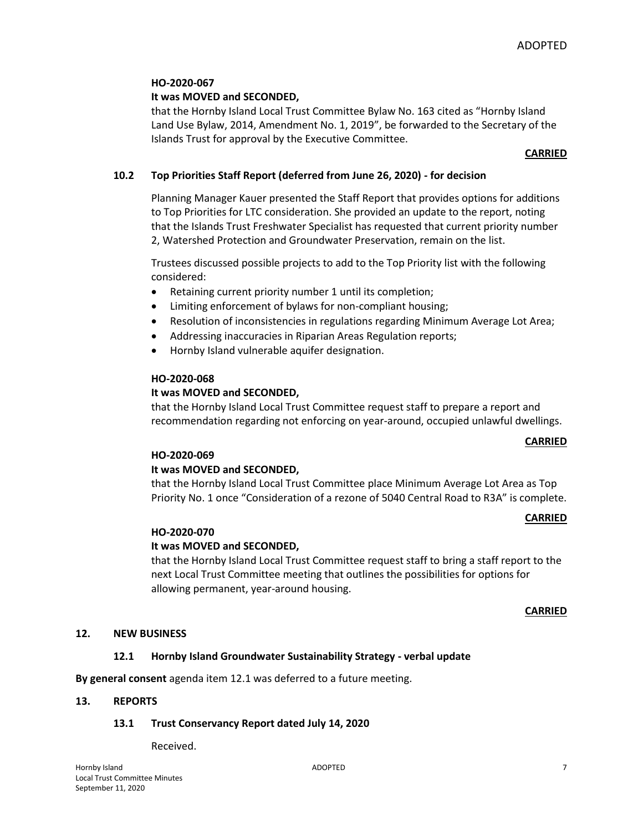# **HO-2020-067**

# **It was MOVED and SECONDED,**

that the Hornby Island Local Trust Committee Bylaw No. 163 cited as "Hornby Island Land Use Bylaw, 2014, Amendment No. 1, 2019", be forwarded to the Secretary of the Islands Trust for approval by the Executive Committee.

### **CARRIED**

# **10.2 Top Priorities Staff Report (deferred from June 26, 2020) - for decision**

Planning Manager Kauer presented the Staff Report that provides options for additions to Top Priorities for LTC consideration. She provided an update to the report, noting that the Islands Trust Freshwater Specialist has requested that current priority number 2, Watershed Protection and Groundwater Preservation, remain on the list.

Trustees discussed possible projects to add to the Top Priority list with the following considered:

- Retaining current priority number 1 until its completion;
- Limiting enforcement of bylaws for non-compliant housing;
- Resolution of inconsistencies in regulations regarding Minimum Average Lot Area;
- Addressing inaccuracies in Riparian Areas Regulation reports;
- Hornby Island vulnerable aquifer designation.

### **HO-2020-068**

### **It was MOVED and SECONDED,**

that the Hornby Island Local Trust Committee request staff to prepare a report and recommendation regarding not enforcing on year-around, occupied unlawful dwellings.

#### **CARRIED**

### **HO-2020-069**

### **It was MOVED and SECONDED,**

that the Hornby Island Local Trust Committee place Minimum Average Lot Area as Top Priority No. 1 once "Consideration of a rezone of 5040 Central Road to R3A" is complete.

### **CARRIED**

### **HO-2020-070**

### **It was MOVED and SECONDED,**

that the Hornby Island Local Trust Committee request staff to bring a staff report to the next Local Trust Committee meeting that outlines the possibilities for options for allowing permanent, year-around housing.

#### **CARRIED**

### **12. NEW BUSINESS**

### **12.1 Hornby Island Groundwater Sustainability Strategy - verbal update**

**By general consent** agenda item 12.1 was deferred to a future meeting.

#### **13. REPORTS**

### **13.1 Trust Conservancy Report dated July 14, 2020**

Received.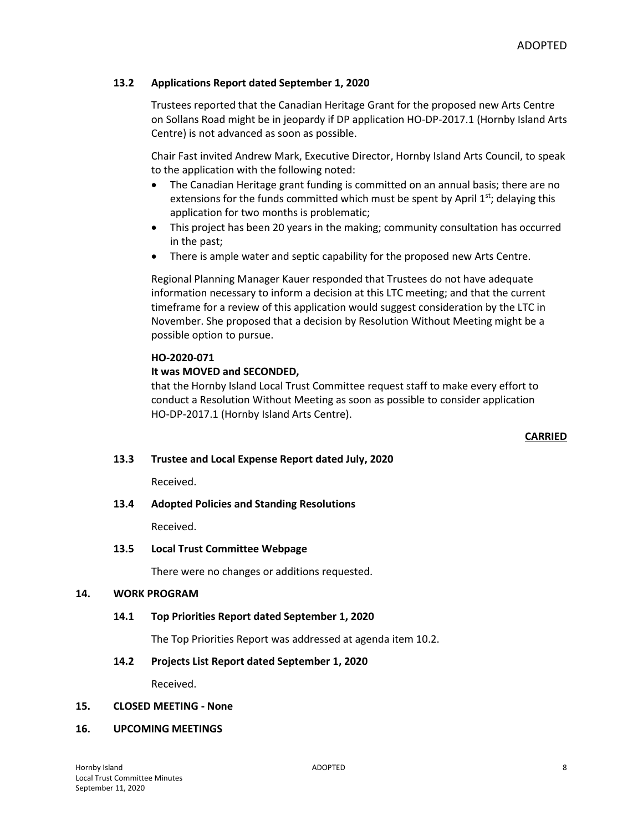### **13.2 Applications Report dated September 1, 2020**

Trustees reported that the Canadian Heritage Grant for the proposed new Arts Centre on Sollans Road might be in jeopardy if DP application HO-DP-2017.1 (Hornby Island Arts Centre) is not advanced as soon as possible.

Chair Fast invited Andrew Mark, Executive Director, Hornby Island Arts Council, to speak to the application with the following noted:

- The Canadian Heritage grant funding is committed on an annual basis; there are no extensions for the funds committed which must be spent by April  $1<sup>st</sup>$ ; delaying this application for two months is problematic;
- This project has been 20 years in the making; community consultation has occurred in the past;
- There is ample water and septic capability for the proposed new Arts Centre.

Regional Planning Manager Kauer responded that Trustees do not have adequate information necessary to inform a decision at this LTC meeting; and that the current timeframe for a review of this application would suggest consideration by the LTC in November. She proposed that a decision by Resolution Without Meeting might be a possible option to pursue.

### **HO-2020-071**

### **It was MOVED and SECONDED,**

that the Hornby Island Local Trust Committee request staff to make every effort to conduct a Resolution Without Meeting as soon as possible to consider application HO-DP-2017.1 (Hornby Island Arts Centre).

#### **CARRIED**

### **13.3 Trustee and Local Expense Report dated July, 2020**

Received.

### **13.4 Adopted Policies and Standing Resolutions**

Received.

### **13.5 Local Trust Committee Webpage**

There were no changes or additions requested.

### **14. WORK PROGRAM**

### **14.1 Top Priorities Report dated September 1, 2020**

The Top Priorities Report was addressed at agenda item 10.2.

### **14.2 Projects List Report dated September 1, 2020**

Received.

#### **15. CLOSED MEETING - None**

#### **16. UPCOMING MEETINGS**